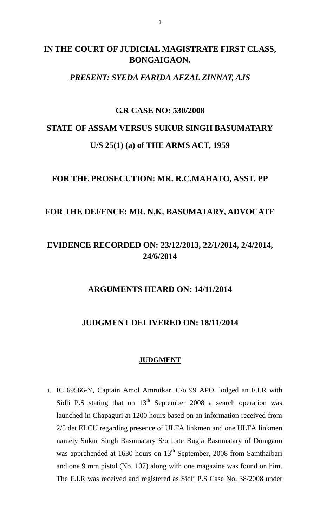## **IN THE COURT OF JUDICIAL MAGISTRATE FIRST CLASS, BONGAIGAON.**

#### *PRESENT: SYEDA FARIDA AFZAL ZINNAT, AJS*

### **G.R CASE NO: 530/2008**

# **STATE OF ASSAM VERSUS SUKUR SINGH BASUMATARY U/S 25(1) (a) of THE ARMS ACT, 1959**

## **FOR THE PROSECUTION: MR. R.C.MAHATO, ASST. PP**

## **FOR THE DEFENCE: MR. N.K. BASUMATARY, ADVOCATE**

## **EVIDENCE RECORDED ON: 23/12/2013, 22/1/2014, 2/4/2014, 24/6/2014**

### **ARGUMENTS HEARD ON: 14/11/2014**

## **JUDGMENT DELIVERED ON: 18/11/2014**

#### **JUDGMENT**

1. IC 69566-Y, Captain Amol Amrutkar, C/o 99 APO, lodged an F.I.R with Sidli P.S stating that on  $13<sup>th</sup>$  September 2008 a search operation was launched in Chapaguri at 1200 hours based on an information received from 2/5 det ELCU regarding presence of ULFA linkmen and one ULFA linkmen namely Sukur Singh Basumatary S/o Late Bugla Basumatary of Domgaon was apprehended at 1630 hours on  $13<sup>th</sup>$  September, 2008 from Samthaibari and one 9 mm pistol (No. 107) along with one magazine was found on him. The F.I.R was received and registered as Sidli P.S Case No. 38/2008 under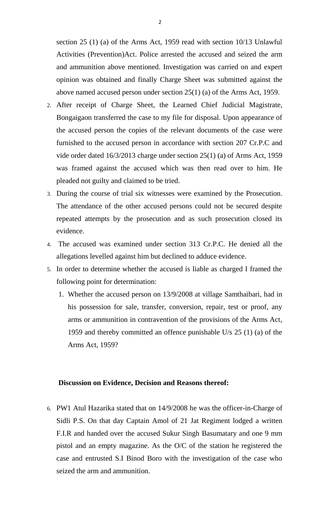section 25 (1) (a) of the Arms Act, 1959 read with section 10/13 Unlawful Activities (Prevention)Act. Police arrested the accused and seized the arm and ammunition above mentioned. Investigation was carried on and expert opinion was obtained and finally Charge Sheet was submitted against the above named accused person under section 25(1) (a) of the Arms Act, 1959.

- 2. After receipt of Charge Sheet, the Learned Chief Judicial Magistrate, Bongaigaon transferred the case to my file for disposal. Upon appearance of the accused person the copies of the relevant documents of the case were furnished to the accused person in accordance with section 207 Cr.P.C and vide order dated 16/3/2013 charge under section 25(1) (a) of Arms Act, 1959 was framed against the accused which was then read over to him. He pleaded not guilty and claimed to be tried.
- 3. During the course of trial six witnesses were examined by the Prosecution. The attendance of the other accused persons could not be secured despite repeated attempts by the prosecution and as such prosecution closed its evidence.
- 4. The accused was examined under section 313 Cr.P.C. He denied all the allegations levelled against him but declined to adduce evidence.
- 5. In order to determine whether the accused is liable as charged I framed the following point for determination:
	- 1. Whether the accused person on 13/9/2008 at village Samthaibari, had in his possession for sale, transfer, conversion, repair, test or proof, any arms or ammunition in contravention of the provisions of the Arms Act, 1959 and thereby committed an offence punishable U/s 25 (1) (a) of the Arms Act, 1959?

#### **Discussion on Evidence, Decision and Reasons thereof:**

6. PW1 Atul Hazarika stated that on 14/9/2008 he was the officer-in-Charge of Sidli P.S. On that day Captain Amol of 21 Jat Regiment lodged a written F.I.R and handed over the accused Sukur Singh Basumatary and one 9 mm pistol and an empty magazine. As the O/C of the station he registered the case and entrusted S.I Binod Boro with the investigation of the case who seized the arm and ammunition.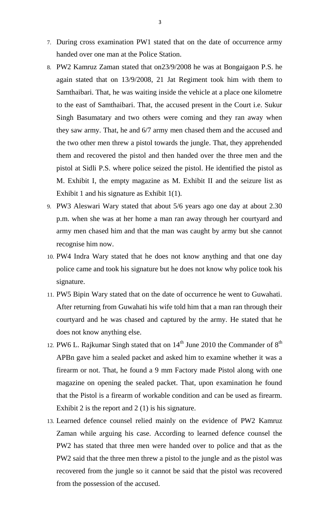- 7. During cross examination PW1 stated that on the date of occurrence army handed over one man at the Police Station.
- 8. PW2 Kamruz Zaman stated that on23/9/2008 he was at Bongaigaon P.S. he again stated that on 13/9/2008, 21 Jat Regiment took him with them to Samthaibari. That, he was waiting inside the vehicle at a place one kilometre to the east of Samthaibari. That, the accused present in the Court i.e. Sukur Singh Basumatary and two others were coming and they ran away when they saw army. That, he and 6/7 army men chased them and the accused and the two other men threw a pistol towards the jungle. That, they apprehended them and recovered the pistol and then handed over the three men and the pistol at Sidli P.S. where police seized the pistol. He identified the pistol as M. Exhibit I, the empty magazine as M. Exhibit II and the seizure list as Exhibit 1 and his signature as Exhibit 1(1).
- 9. PW3 Aleswari Wary stated that about 5/6 years ago one day at about 2.30 p.m. when she was at her home a man ran away through her courtyard and army men chased him and that the man was caught by army but she cannot recognise him now.
- 10. PW4 Indra Wary stated that he does not know anything and that one day police came and took his signature but he does not know why police took his signature.
- 11. PW5 Bipin Wary stated that on the date of occurrence he went to Guwahati. After returning from Guwahati his wife told him that a man ran through their courtyard and he was chased and captured by the army. He stated that he does not know anything else.
- 12. PW6 L. Rajkumar Singh stated that on  $14^{\text{th}}$  June 2010 the Commander of  $8^{\text{th}}$ APBn gave him a sealed packet and asked him to examine whether it was a firearm or not. That, he found a 9 mm Factory made Pistol along with one magazine on opening the sealed packet. That, upon examination he found that the Pistol is a firearm of workable condition and can be used as firearm. Exhibit 2 is the report and 2 (1) is his signature.
- 13. Learned defence counsel relied mainly on the evidence of PW2 Kamruz Zaman while arguing his case. According to learned defence counsel the PW2 has stated that three men were handed over to police and that as the PW2 said that the three men threw a pistol to the jungle and as the pistol was recovered from the jungle so it cannot be said that the pistol was recovered from the possession of the accused.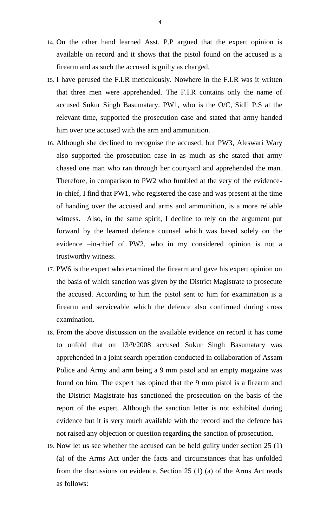- 14. On the other hand learned Asst. P.P argued that the expert opinion is available on record and it shows that the pistol found on the accused is a firearm and as such the accused is guilty as charged.
- 15. I have perused the F.I.R meticulously. Nowhere in the F.I.R was it written that three men were apprehended. The F.I.R contains only the name of accused Sukur Singh Basumatary. PW1, who is the O/C, Sidli P.S at the relevant time, supported the prosecution case and stated that army handed him over one accused with the arm and ammunition.
- 16. Although she declined to recognise the accused, but PW3, Aleswari Wary also supported the prosecution case in as much as she stated that army chased one man who ran through her courtyard and apprehended the man. Therefore, in comparison to PW2 who fumbled at the very of the evidencein-chief, I find that PW1, who registered the case and was present at the time of handing over the accused and arms and ammunition, is a more reliable witness. Also, in the same spirit, I decline to rely on the argument put forward by the learned defence counsel which was based solely on the evidence –in-chief of PW2, who in my considered opinion is not a trustworthy witness.
- 17. PW6 is the expert who examined the firearm and gave his expert opinion on the basis of which sanction was given by the District Magistrate to prosecute the accused. According to him the pistol sent to him for examination is a firearm and serviceable which the defence also confirmed during cross examination.
- 18. From the above discussion on the available evidence on record it has come to unfold that on 13/9/2008 accused Sukur Singh Basumatary was apprehended in a joint search operation conducted in collaboration of Assam Police and Army and arm being a 9 mm pistol and an empty magazine was found on him. The expert has opined that the 9 mm pistol is a firearm and the District Magistrate has sanctioned the prosecution on the basis of the report of the expert. Although the sanction letter is not exhibited during evidence but it is very much available with the record and the defence has not raised any objection or question regarding the sanction of prosecution.
- 19. Now let us see whether the accused can be held guilty under section 25 (1) (a) of the Arms Act under the facts and circumstances that has unfolded from the discussions on evidence. Section 25 (1) (a) of the Arms Act reads as follows: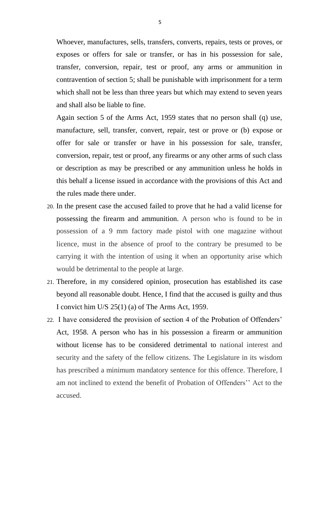Whoever, manufactures, sells, transfers, converts, repairs, tests or proves, or exposes or offers for sale or transfer, or has in his possession for sale, transfer, conversion, repair, test or proof, any arms or ammunition in contravention of section 5; shall be punishable with imprisonment for a term which shall not be less than three years but which may extend to seven years and shall also be liable to fine.

Again section 5 of the Arms Act, 1959 states that no person shall (q) use, manufacture, sell, transfer, convert, repair, test or prove or (b) expose or offer for sale or transfer or have in his possession for sale, transfer, conversion, repair, test or proof, any firearms or any other arms of such class or description as may be prescribed or any ammunition unless he holds in this behalf a license issued in accordance with the provisions of this Act and the rules made there under.

- 20. In the present case the accused failed to prove that he had a valid license for possessing the firearm and ammunition. A person who is found to be in possession of a 9 mm factory made pistol with one magazine without licence, must in the absence of proof to the contrary be presumed to be carrying it with the intention of using it when an opportunity arise which would be detrimental to the people at large.
- 21. Therefore, in my considered opinion, prosecution has established its case beyond all reasonable doubt. Hence, I find that the accused is guilty and thus I convict him U/S 25(1) (a) of The Arms Act, 1959.
- 22. I have considered the provision of section 4 of the Probation of Offenders' Act, 1958. A person who has in his possession a firearm or ammunition without license has to be considered detrimental to national interest and security and the safety of the fellow citizens. The Legislature in its wisdom has prescribed a minimum mandatory sentence for this offence. Therefore, I am not inclined to extend the benefit of Probation of Offenders'' Act to the accused.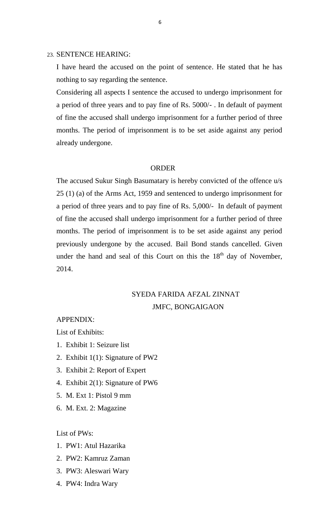#### 23. SENTENCE HEARING:

I have heard the accused on the point of sentence. He stated that he has nothing to say regarding the sentence.

Considering all aspects I sentence the accused to undergo imprisonment for a period of three years and to pay fine of Rs. 5000/- . In default of payment of fine the accused shall undergo imprisonment for a further period of three months. The period of imprisonment is to be set aside against any period already undergone.

#### ORDER

The accused Sukur Singh Basumatary is hereby convicted of the offence u/s 25 (1) (a) of the Arms Act, 1959 and sentenced to undergo imprisonment for a period of three years and to pay fine of Rs. 5,000/- In default of payment of fine the accused shall undergo imprisonment for a further period of three months. The period of imprisonment is to be set aside against any period previously undergone by the accused. Bail Bond stands cancelled. Given under the hand and seal of this Court on this the  $18<sup>th</sup>$  day of November, 2014.

## SYEDA FARIDA AFZAL ZINNAT JMFC, BONGAIGAON

#### APPENDIX:

List of Exhibits:

- 1. Exhibit 1: Seizure list
- 2. Exhibit 1(1): Signature of PW2
- 3. Exhibit 2: Report of Expert
- 4. Exhibit 2(1): Signature of PW6
- 5. M. Ext 1: Pistol 9 mm
- 6. M. Ext. 2: Magazine

List of PWs:

- 1. PW1: Atul Hazarika
- 2. PW2: Kamruz Zaman
- 3. PW3: Aleswari Wary
- 4. PW4: Indra Wary